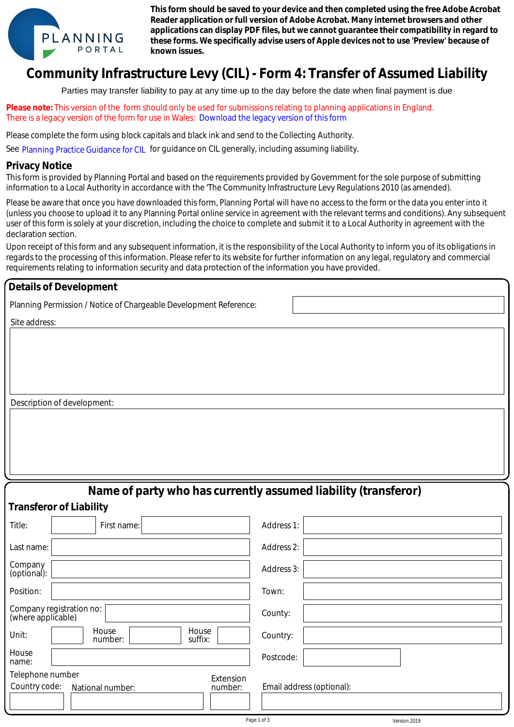

**This form should be saved to your device and then completed using the free Adobe Acrobat Reader application or full version of Adobe Acrobat. Many internet browsers and other applications can display PDF files, but we cannot guarantee their compatibility in regard to these forms. We specifically advise users of Apple devices not to use 'Preview' because of known issues.**

## **Community Infrastructure Levy (CIL) - Form 4: Transfer of Assumed Liability**

Parties may transfer liability to pay at any time up to the day before the date when final payment is due

**Please note:** This version of the form should only be used for submissions relating to planning applications in England. There is a legacy version of the form for use in Wales: Download the legacy version of this form

## **Privacy Notice**

| There is a legacy version of the form for use in Wales: Download the legacy version of this form                                                                                                                                                                                                                                                                                                                                                                                                                                                                                                                                                                                                                                                                                                                                                                    |                           |  |
|---------------------------------------------------------------------------------------------------------------------------------------------------------------------------------------------------------------------------------------------------------------------------------------------------------------------------------------------------------------------------------------------------------------------------------------------------------------------------------------------------------------------------------------------------------------------------------------------------------------------------------------------------------------------------------------------------------------------------------------------------------------------------------------------------------------------------------------------------------------------|---------------------------|--|
| Please complete the form using block capitals and black ink and send to the Collecting Authority.                                                                                                                                                                                                                                                                                                                                                                                                                                                                                                                                                                                                                                                                                                                                                                   |                           |  |
| See Planning Practice Guidance for CIL for guidance on CIL generally, including assuming liability.                                                                                                                                                                                                                                                                                                                                                                                                                                                                                                                                                                                                                                                                                                                                                                 |                           |  |
| <b>Privacy Notice</b>                                                                                                                                                                                                                                                                                                                                                                                                                                                                                                                                                                                                                                                                                                                                                                                                                                               |                           |  |
| This form is provided by Planning Portal and based on the requirements provided by Government for the sole purpose of submitting<br>information to a Local Authority in accordance with the 'The Community Infrastructure Levy Regulations 2010 (as amended).                                                                                                                                                                                                                                                                                                                                                                                                                                                                                                                                                                                                       |                           |  |
| Please be aware that once you have downloaded this form, Planning Portal will have no access to the form or the data you enter into it<br>(unless you choose to upload it to any Planning Portal online service in agreement with the relevant terms and conditions). Any subsequent<br>user of this form is solely at your discretion, including the choice to complete and submit it to a Local Authority in agreement with the<br>declaration section.<br>Upon receipt of this form and any subsequent information, it is the responsibility of the Local Authority to inform you of its obligations in<br>regards to the processing of this information. Please refer to its website for further information on any legal, regulatory and commercial<br>requirements relating to information security and data protection of the information you have provided. |                           |  |
| <b>Details of Development</b>                                                                                                                                                                                                                                                                                                                                                                                                                                                                                                                                                                                                                                                                                                                                                                                                                                       |                           |  |
| Planning Permission / Notice of Chargeable Development Reference:                                                                                                                                                                                                                                                                                                                                                                                                                                                                                                                                                                                                                                                                                                                                                                                                   |                           |  |
| Site address:                                                                                                                                                                                                                                                                                                                                                                                                                                                                                                                                                                                                                                                                                                                                                                                                                                                       |                           |  |
|                                                                                                                                                                                                                                                                                                                                                                                                                                                                                                                                                                                                                                                                                                                                                                                                                                                                     |                           |  |
|                                                                                                                                                                                                                                                                                                                                                                                                                                                                                                                                                                                                                                                                                                                                                                                                                                                                     |                           |  |
|                                                                                                                                                                                                                                                                                                                                                                                                                                                                                                                                                                                                                                                                                                                                                                                                                                                                     |                           |  |
|                                                                                                                                                                                                                                                                                                                                                                                                                                                                                                                                                                                                                                                                                                                                                                                                                                                                     |                           |  |
| Description of development:                                                                                                                                                                                                                                                                                                                                                                                                                                                                                                                                                                                                                                                                                                                                                                                                                                         |                           |  |
|                                                                                                                                                                                                                                                                                                                                                                                                                                                                                                                                                                                                                                                                                                                                                                                                                                                                     |                           |  |
|                                                                                                                                                                                                                                                                                                                                                                                                                                                                                                                                                                                                                                                                                                                                                                                                                                                                     |                           |  |
|                                                                                                                                                                                                                                                                                                                                                                                                                                                                                                                                                                                                                                                                                                                                                                                                                                                                     |                           |  |
|                                                                                                                                                                                                                                                                                                                                                                                                                                                                                                                                                                                                                                                                                                                                                                                                                                                                     |                           |  |
| Name of party who has currently assumed liability (transferor)                                                                                                                                                                                                                                                                                                                                                                                                                                                                                                                                                                                                                                                                                                                                                                                                      |                           |  |
| <b>Transferor of Liability</b>                                                                                                                                                                                                                                                                                                                                                                                                                                                                                                                                                                                                                                                                                                                                                                                                                                      |                           |  |
| Title:<br>First name:                                                                                                                                                                                                                                                                                                                                                                                                                                                                                                                                                                                                                                                                                                                                                                                                                                               | Address 1:                |  |
| Last name:                                                                                                                                                                                                                                                                                                                                                                                                                                                                                                                                                                                                                                                                                                                                                                                                                                                          | Address 2:                |  |
| Company<br>(optional):                                                                                                                                                                                                                                                                                                                                                                                                                                                                                                                                                                                                                                                                                                                                                                                                                                              | Address 3:                |  |
| Position:                                                                                                                                                                                                                                                                                                                                                                                                                                                                                                                                                                                                                                                                                                                                                                                                                                                           | Town:                     |  |
| Company registration no:<br>(where applicable)                                                                                                                                                                                                                                                                                                                                                                                                                                                                                                                                                                                                                                                                                                                                                                                                                      | County:                   |  |
| House<br>House<br>Unit:<br>suffix:<br>number:                                                                                                                                                                                                                                                                                                                                                                                                                                                                                                                                                                                                                                                                                                                                                                                                                       | Country:                  |  |
| House<br>name:                                                                                                                                                                                                                                                                                                                                                                                                                                                                                                                                                                                                                                                                                                                                                                                                                                                      | Postcode:                 |  |
| Telephone number<br>Extension                                                                                                                                                                                                                                                                                                                                                                                                                                                                                                                                                                                                                                                                                                                                                                                                                                       |                           |  |
| Country code:<br>number:<br>National number:                                                                                                                                                                                                                                                                                                                                                                                                                                                                                                                                                                                                                                                                                                                                                                                                                        | Email address (optional): |  |
| Page 1 of 3<br>Version 2019                                                                                                                                                                                                                                                                                                                                                                                                                                                                                                                                                                                                                                                                                                                                                                                                                                         |                           |  |
|                                                                                                                                                                                                                                                                                                                                                                                                                                                                                                                                                                                                                                                                                                                                                                                                                                                                     |                           |  |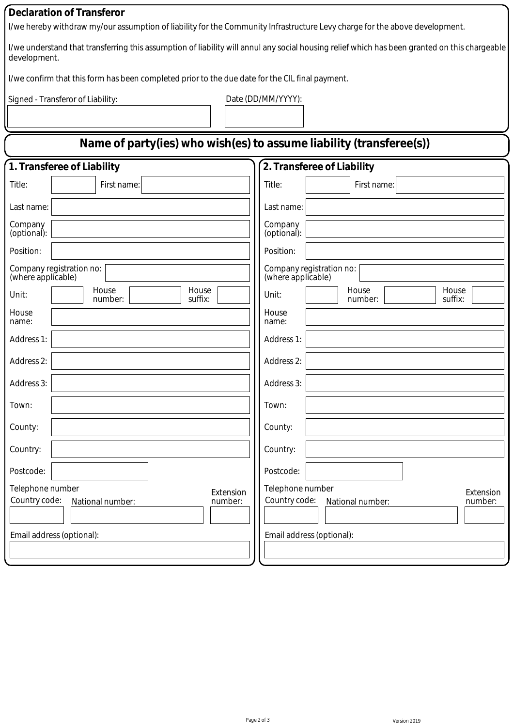## **Declaration of Transferor**

I/we hereby withdraw my/our assumption of liability for the Community Infrastructure Levy charge for the above development.

I/we understand that transferring this assumption of liability will annul any social housing relief which has been granted on this chargeable development.

I/we confirm that this form has been completed prior to the due date for the CIL final payment.

Signed - Transferor of Liability: Date (DD/MM/YYYY):

| Name of party(ies) who wish(es) to assume liability (transferee(s))           |                                                                               |
|-------------------------------------------------------------------------------|-------------------------------------------------------------------------------|
| 1. Transferee of Liability                                                    | 2. Transferee of Liability                                                    |
| Title:<br>First name:                                                         | First name:<br>Title:                                                         |
| Last name:                                                                    | Last name:                                                                    |
| Company<br>(optional):                                                        | Company<br>(optional):                                                        |
| Position:                                                                     | Position:                                                                     |
| Company registration no:<br>(where applicable)                                | Company registration no:<br>(where applicable)                                |
| House<br>House<br>Unit:<br>suffix:<br>number:                                 | House<br>House<br>Unit:<br>suffix:<br>number:                                 |
| House<br>name:                                                                | House<br>name:                                                                |
| Address 1:                                                                    | Address 1:                                                                    |
| Address 2:                                                                    | Address 2:                                                                    |
| Address 3:                                                                    | Address 3:                                                                    |
| Town:                                                                         | Town:                                                                         |
| County:                                                                       | County:                                                                       |
| Country:                                                                      | Country:                                                                      |
| Postcode:                                                                     | Postcode:                                                                     |
| Telephone number<br>Extension<br>Country code:<br>number:<br>National number: | Telephone number<br>Extension<br>Country code:<br>number:<br>National number: |
| Email address (optional):                                                     | Email address (optional):                                                     |
|                                                                               |                                                                               |